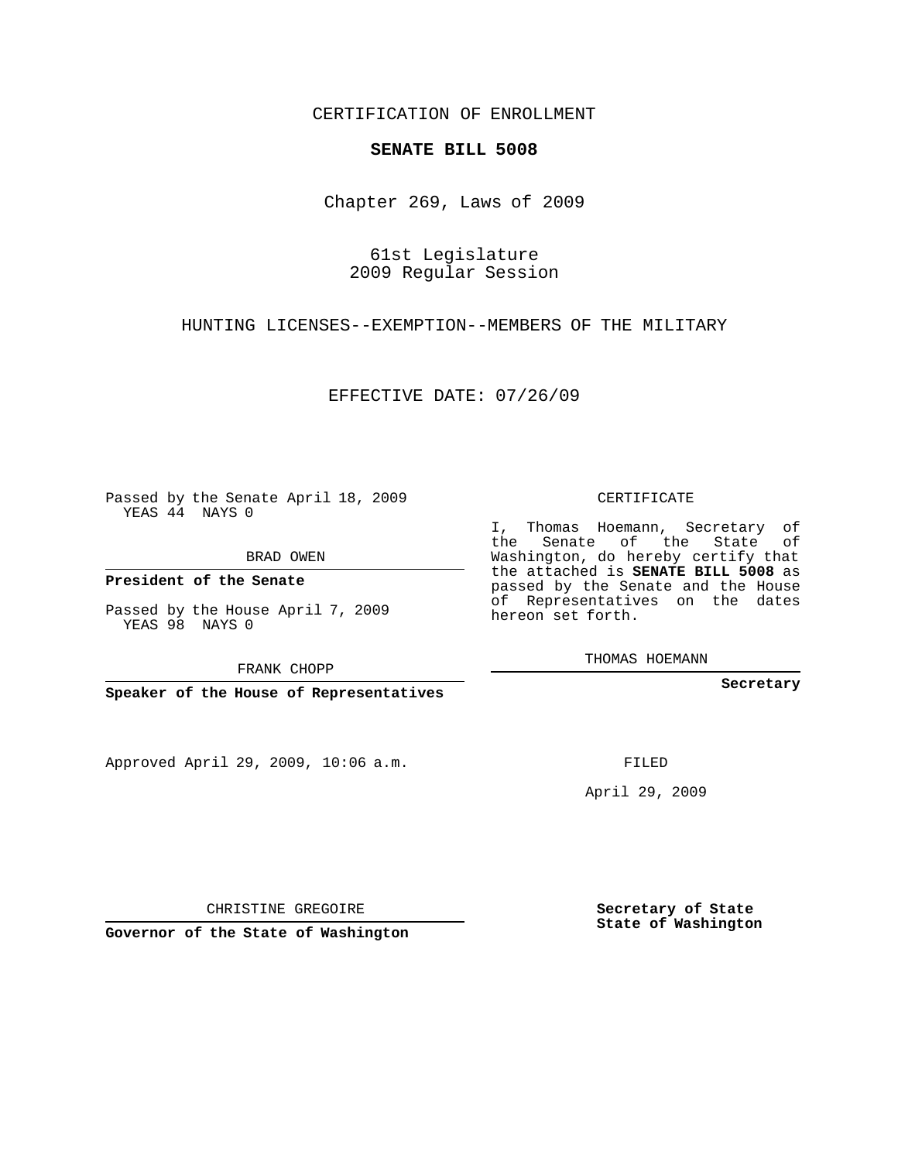### CERTIFICATION OF ENROLLMENT

#### **SENATE BILL 5008**

Chapter 269, Laws of 2009

61st Legislature 2009 Regular Session

HUNTING LICENSES--EXEMPTION--MEMBERS OF THE MILITARY

EFFECTIVE DATE: 07/26/09

Passed by the Senate April 18, 2009 YEAS 44 NAYS 0

BRAD OWEN

**President of the Senate**

Passed by the House April 7, 2009 YEAS 98 NAYS 0

FRANK CHOPP

**Speaker of the House of Representatives**

Approved April 29, 2009, 10:06 a.m.

CERTIFICATE

I, Thomas Hoemann, Secretary of the Senate of the State of Washington, do hereby certify that the attached is **SENATE BILL 5008** as passed by the Senate and the House of Representatives on the dates hereon set forth.

THOMAS HOEMANN

**Secretary**

FILED

April 29, 2009

**Secretary of State State of Washington**

CHRISTINE GREGOIRE

**Governor of the State of Washington**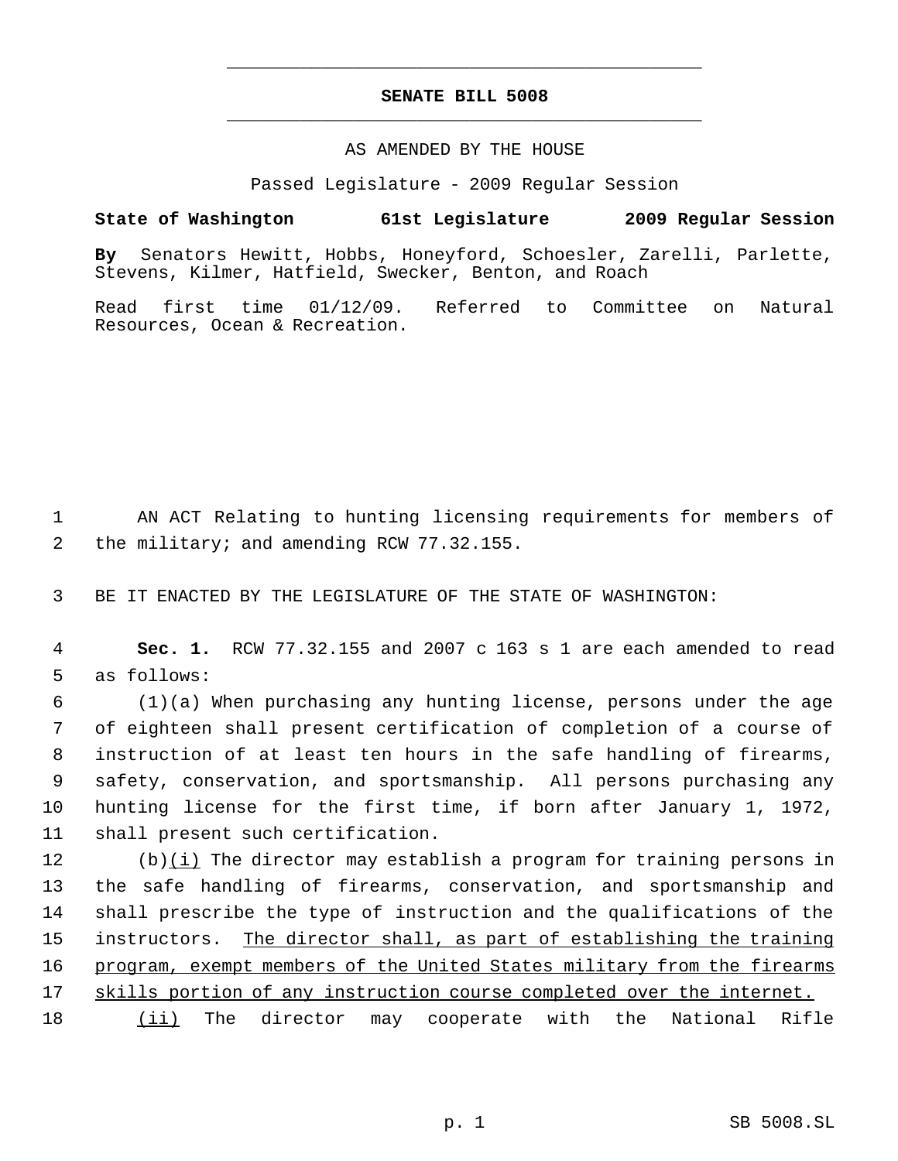# **SENATE BILL 5008** \_\_\_\_\_\_\_\_\_\_\_\_\_\_\_\_\_\_\_\_\_\_\_\_\_\_\_\_\_\_\_\_\_\_\_\_\_\_\_\_\_\_\_\_\_

\_\_\_\_\_\_\_\_\_\_\_\_\_\_\_\_\_\_\_\_\_\_\_\_\_\_\_\_\_\_\_\_\_\_\_\_\_\_\_\_\_\_\_\_\_

### AS AMENDED BY THE HOUSE

Passed Legislature - 2009 Regular Session

## **State of Washington 61st Legislature 2009 Regular Session**

**By** Senators Hewitt, Hobbs, Honeyford, Schoesler, Zarelli, Parlette, Stevens, Kilmer, Hatfield, Swecker, Benton, and Roach

Read first time 01/12/09. Referred to Committee on Natural Resources, Ocean & Recreation.

 1 AN ACT Relating to hunting licensing requirements for members of 2 the military; and amending RCW 77.32.155.

3 BE IT ENACTED BY THE LEGISLATURE OF THE STATE OF WASHINGTON:

 4 **Sec. 1.** RCW 77.32.155 and 2007 c 163 s 1 are each amended to read 5 as follows:

 (1)(a) When purchasing any hunting license, persons under the age of eighteen shall present certification of completion of a course of instruction of at least ten hours in the safe handling of firearms, safety, conservation, and sportsmanship. All persons purchasing any hunting license for the first time, if born after January 1, 1972, shall present such certification.

 $(b)(i)$  The director may establish a program for training persons in the safe handling of firearms, conservation, and sportsmanship and shall prescribe the type of instruction and the qualifications of the 15 instructors. The director shall, as part of establishing the training program, exempt members of the United States military from the firearms 17 skills portion of any instruction course completed over the internet.

18 (ii) The director may cooperate with the National Rifle